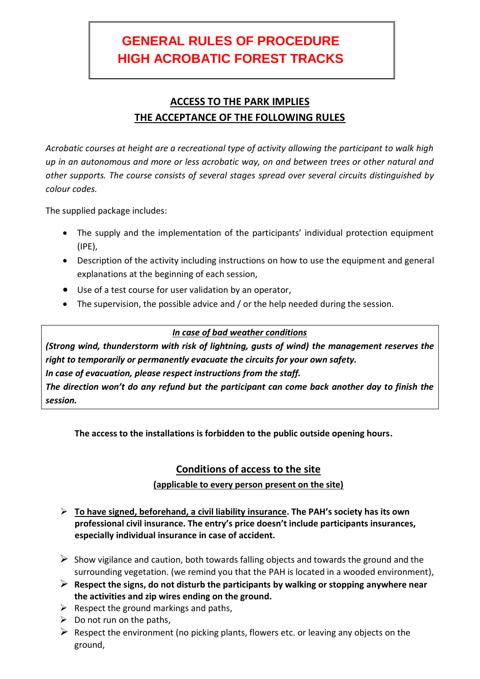# **GENERAL RULES OF PROCEDURE HIGH ACROBATIC FOREST TRACKS**

## **ACCESS TO THE PARK IMPLIES THE ACCEPTANCE OF THE FOLLOWING RULES**

*Acrobatic courses at height are a recreational type of activity allowing the participant to walk high up in an autonomous and more or less acrobatic way, on and between trees or other natural and other supports. The course consists of several stages spread over several circuits distinguished by colour codes.*

The supplied package includes:

- The supply and the implementation of the participants' individual protection equipment (IPE),
- Description of the activity including instructions on how to use the equipment and general explanations at the beginning of each session,
- Use of a test course for user validation by an operator,
- The supervision, the possible advice and / or the help needed during the session.

#### *In case of bad weather conditions*

*(Strong wind, thunderstorm with risk of lightning, gusts of wind) the management reserves the right to temporarily or permanently evacuate the circuits for your own safety. In case of evacuation, please respect instructions from the staff. The direction won't do any refund but the participant can come back another day to finish the session.*

**The access to the installations is forbidden to the public outside opening hours.**

## **Conditions of access to the site**

#### **(applicable to every person present on the site)**

- **To have signed, beforehand, a civil liability insurance. The PAH's society has its own professional civil insurance. The entry's price doesn't include participants insurances, especially individual insurance in case of accident.**
- $\triangleright$  Show vigilance and caution, both towards falling objects and towards the ground and the surrounding vegetation. (we remind you that the PAH is located in a wooded environment),
- **Respect the signs, do not disturb the participants by walking or stopping anywhere near the activities and zip wires ending on the ground.**
- $\triangleright$  Respect the ground markings and paths,
- $\triangleright$  Do not run on the paths,
- $\triangleright$  Respect the environment (no picking plants, flowers etc. or leaving any objects on the ground,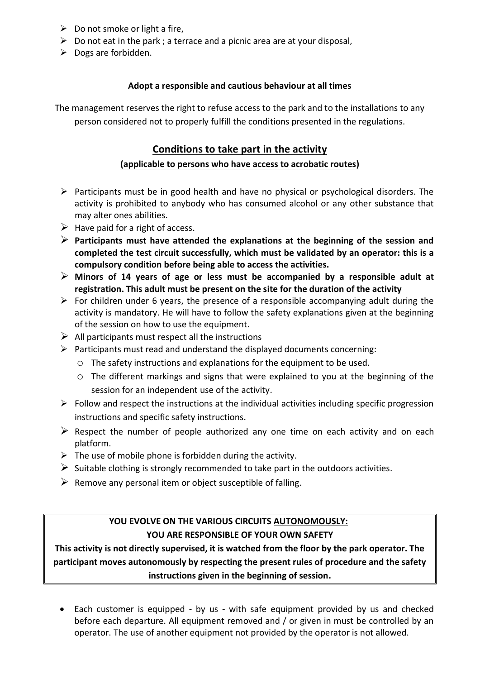- $\triangleright$  Do not smoke or light a fire,
- $\triangleright$  Do not eat in the park; a terrace and a picnic area are at your disposal,
- $\triangleright$  Dogs are forbidden.

#### **Adopt a responsible and cautious behaviour at all times**

The management reserves the right to refuse access to the park and to the installations to any person considered not to properly fulfill the conditions presented in the regulations.

## **Conditions to take part in the activity**

### **(applicable to persons who have access to acrobatic routes)**

- $\triangleright$  Participants must be in good health and have no physical or psychological disorders. The activity is prohibited to anybody who has consumed alcohol or any other substance that may alter ones abilities.
- $\triangleright$  Have paid for a right of access.
- **Participants must have attended the explanations at the beginning of the session and completed the test circuit successfully, which must be validated by an operator: this is a compulsory condition before being able to access the activities.**
- **Minors of 14 years of age or less must be accompanied by a responsible adult at registration. This adult must be present on the site for the duration of the activity**
- $\triangleright$  For children under 6 years, the presence of a responsible accompanying adult during the activity is mandatory. He will have to follow the safety explanations given at the beginning of the session on how to use the equipment.
- $\triangleright$  All participants must respect all the instructions
- $\triangleright$  Participants must read and understand the displayed documents concerning:
	- o The safety instructions and explanations for the equipment to be used.
	- o The different markings and signs that were explained to you at the beginning of the session for an independent use of the activity.
- $\triangleright$  Follow and respect the instructions at the individual activities including specific progression instructions and specific safety instructions.
- $\triangleright$  Respect the number of people authorized any one time on each activity and on each platform.
- $\triangleright$  The use of mobile phone is forbidden during the activity.
- $\triangleright$  Suitable clothing is strongly recommended to take part in the outdoors activities.
- $\triangleright$  Remove any personal item or object susceptible of falling.

## **YOU EVOLVE ON THE VARIOUS CIRCUITS AUTONOMOUSLY: YOU ARE RESPONSIBLE OF YOUR OWN SAFETY**

**This activity is not directly supervised, it is watched from the floor by the park operator. The participant moves autonomously by respecting the present rules of procedure and the safety instructions given in the beginning of session.**

 Each customer is equipped - by us - with safe equipment provided by us and checked before each departure. All equipment removed and / or given in must be controlled by an operator. The use of another equipment not provided by the operator is not allowed.